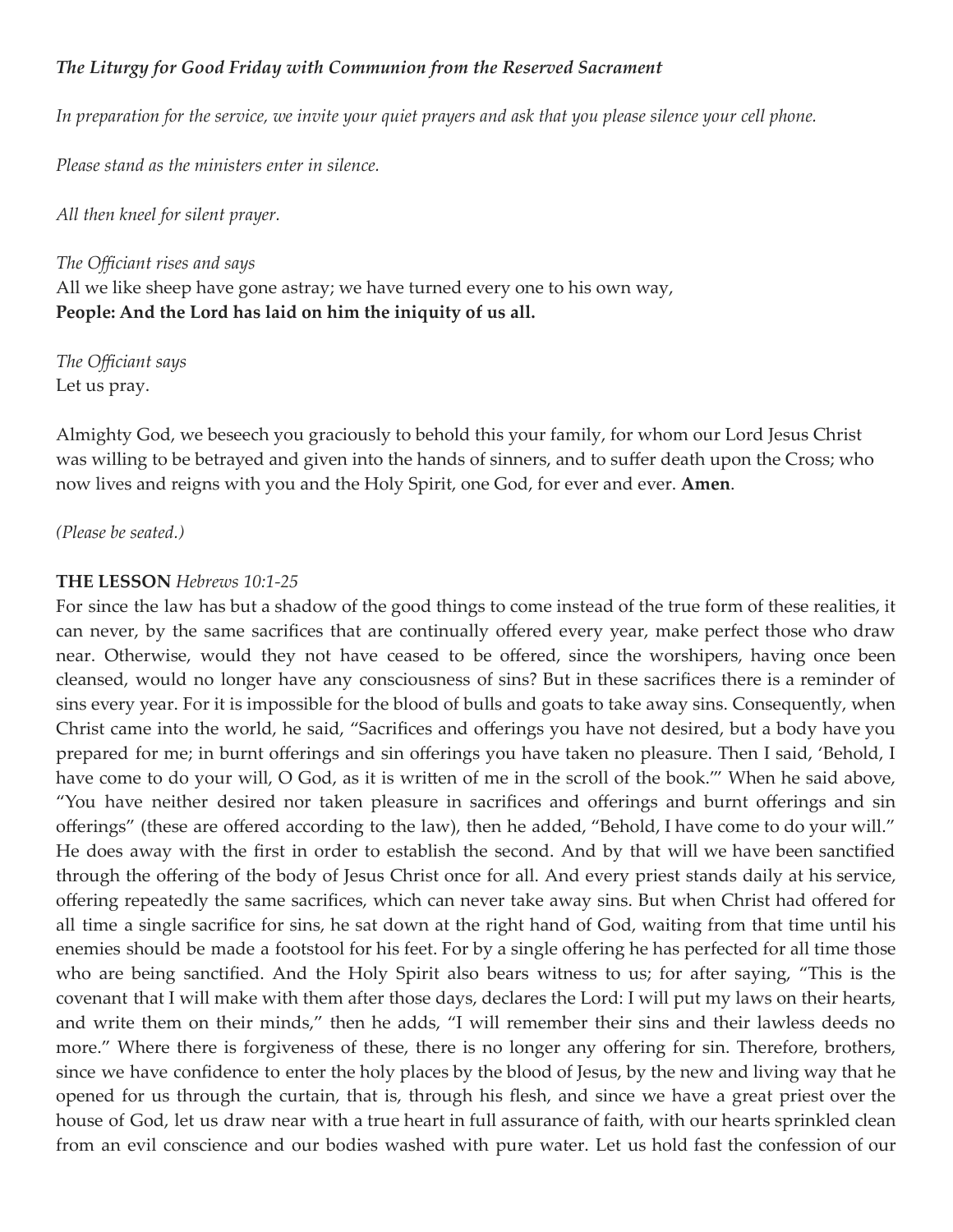### *The Liturgy for Good Friday with Communion from the Reserved Sacrament*

In preparation for the service, we invite your quiet prayers and ask that you please silence your cell phone.

*Please stand as the ministers enter in silence.*

*All then kneel for silent prayer.*

*The Officiant rises and says* All we like sheep have gone astray; we have turned every one to his own way, **People: And the Lord has laid on him the iniquity of us all.**

*The Officiant says* Let us pray.

Almighty God, we beseech you graciously to behold this your family, for whom our Lord Jesus Christ was willing to be betrayed and given into the hands of sinners, and to suffer death upon the Cross; who now lives and reigns with you and the Holy Spirit, one God, for ever and ever. **Amen**.

*(Please be seated.)*

#### **THE LESSON** *Hebrews 10:1-25*

For since the law has but a shadow of the good things to come instead of the true form of these realities, it can never, by the same sacrifices that are continually offered every year, make perfect those who draw near. Otherwise, would they not have ceased to be offered, since the worshipers, having once been cleansed, would no longer have any consciousness of sins? But in these sacrifices there is a reminder of sins every year. For it is impossible for the blood of bulls and goats to take away sins. Consequently, when Christ came into the world, he said, "Sacrifices and offerings you have not desired, but a body have you prepared for me; in burnt offerings and sin offerings you have taken no pleasure. Then I said, 'Behold, I have come to do your will, O God, as it is written of me in the scroll of the book.'" When he said above, "You have neither desired nor taken pleasure in sacrifices and offerings and burnt offerings and sin offerings" (these are offered according to the law), then he added, "Behold, I have come to do your will." He does away with the first in order to establish the second. And by that will we have been sanctified through the offering of the body of Jesus Christ once for all. And every priest stands daily at his service, offering repeatedly the same sacrifices, which can never take away sins. But when Christ had offered for all time a single sacrifice for sins, he sat down at the right hand of God, waiting from that time until his enemies should be made a footstool for his feet. For by a single offering he has perfected for all time those who are being sanctified. And the Holy Spirit also bears witness to us; for after saying, "This is the covenant that I will make with them after those days, declares the Lord: I will put my laws on their hearts, and write them on their minds," then he adds, "I will remember their sins and their lawless deeds no more." Where there is forgiveness of these, there is no longer any offering for sin. Therefore, brothers, since we have confidence to enter the holy places by the blood of Jesus, by the new and living way that he opened for us through the curtain, that is, through his flesh, and since we have a great priest over the house of God, let us draw near with a true heart in full assurance of faith, with our hearts sprinkled clean from an evil conscience and our bodies washed with pure water. Let us hold fast the confession of our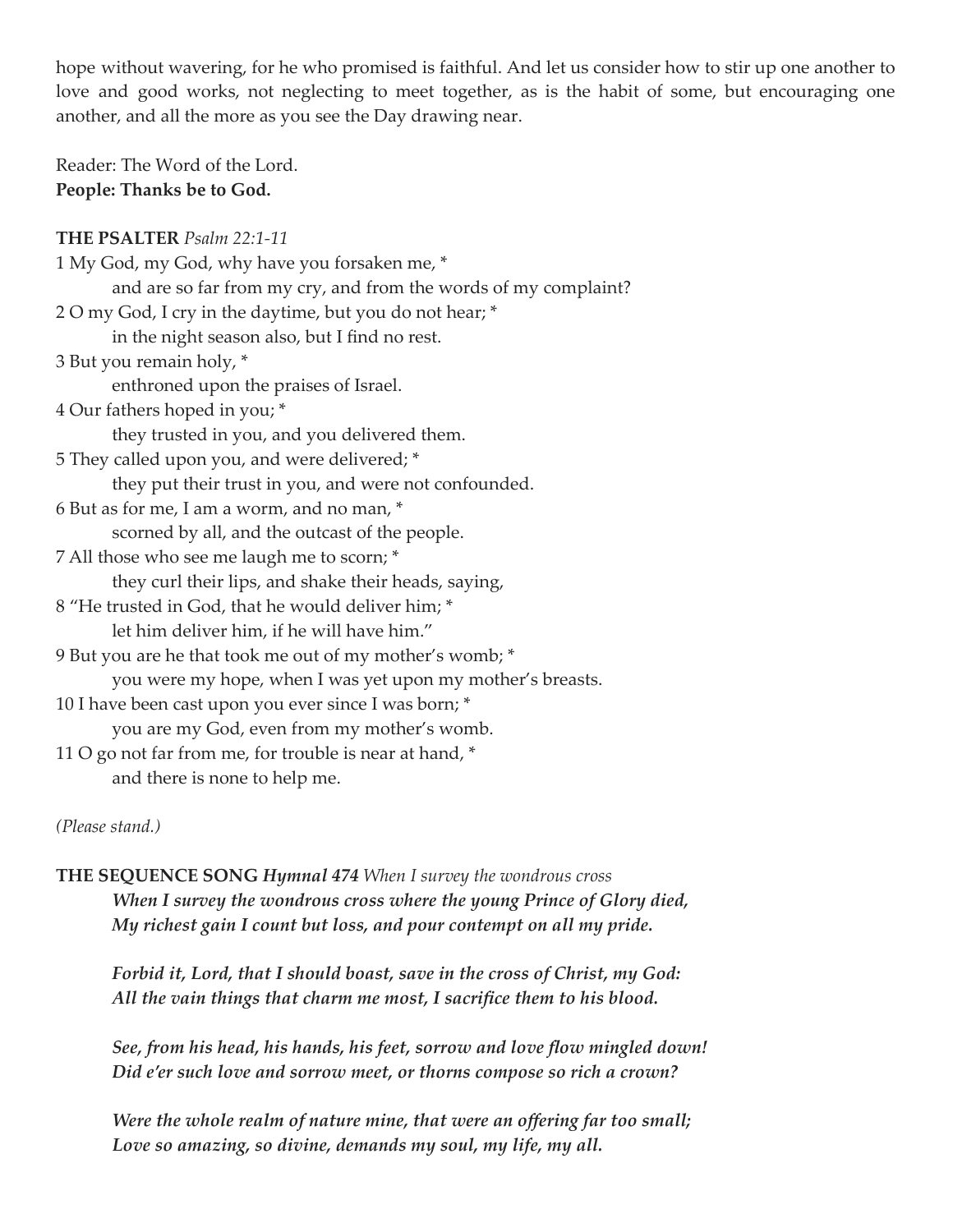hope without wavering, for he who promised is faithful. And let us consider how to stir up one another to love and good works, not neglecting to meet together, as is the habit of some, but encouraging one another, and all the more as you see the Day drawing near.

Reader: The Word of the Lord. **People: Thanks be to God.**

#### **THE PSALTER** *Psalm 22:1-11*

| 1 My God, my God, why have you forsaken me, *                   |
|-----------------------------------------------------------------|
| and are so far from my cry, and from the words of my complaint? |
| 2 O my God, I cry in the daytime, but you do not hear; *        |
| in the night season also, but I find no rest.                   |
| 3 But you remain holy, *                                        |
| enthroned upon the praises of Israel.                           |
| 4 Our fathers hoped in you; *                                   |
| they trusted in you, and you delivered them.                    |
| 5 They called upon you, and were delivered; *                   |
| they put their trust in you, and were not confounded.           |
| 6 But as for me, I am a worm, and no man, *                     |
| scorned by all, and the outcast of the people.                  |
| 7 All those who see me laugh me to scorn; *                     |
| they curl their lips, and shake their heads, saying,            |
| 8 "He trusted in God, that he would deliver him; *              |
| let him deliver him, if he will have him."                      |
| 9 But you are he that took me out of my mother's womb; *        |
| you were my hope, when I was yet upon my mother's breasts.      |
| 10 I have been cast upon you ever since I was born; *           |
| you are my God, even from my mother's womb.                     |
| 11 O go not far from me, for trouble is near at hand, *         |
| and there is none to help me.                                   |
|                                                                 |

#### *(Please stand.)*

**THE SEQUENCE SONG** *Hymnal 474 When I survey the wondrous cross When I survey the wondrous cross where the young Prince of Glory died, My richest gain I count but loss, and pour contempt on all my pride.*

*Forbid it, Lord, that I should boast, save in the cross of Christ, my God: All the vain things that charm me most, I sacrifice them to his blood.*

*See, from his head, his hands, his feet, sorrow and love flow mingled down! Did e'er such love and sorrow meet, or thorns compose so rich a crown?*

*Were the whole realm of nature mine, that were an offering far too small; Love so amazing, so divine, demands my soul, my life, my all.*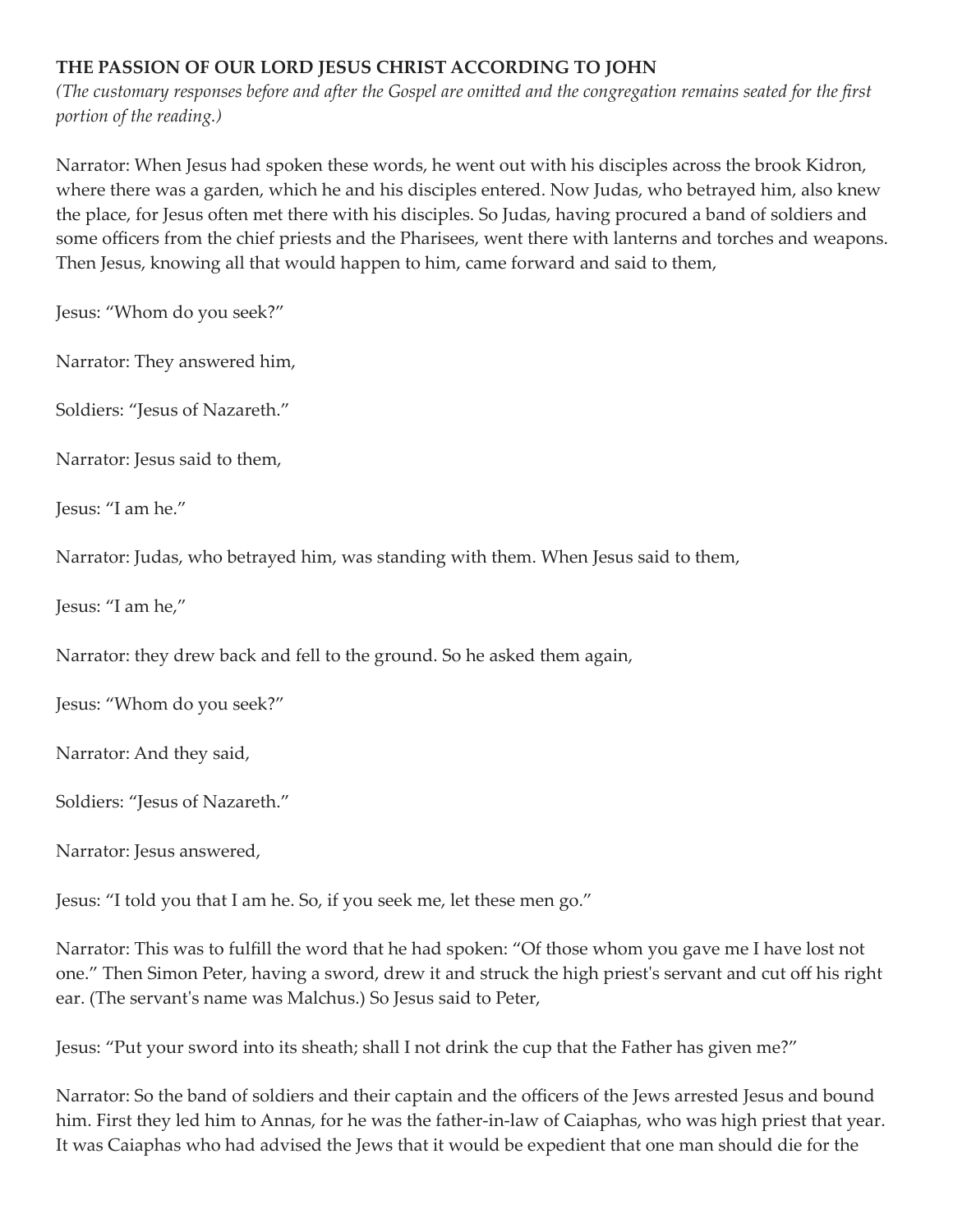# **THE PASSION OF OUR LORD JESUS CHRIST ACCORDING TO JOHN**

(The customary responses before and after the Gospel are omitted and the congregation remains seated for the first *portion of the reading.)*

Narrator: When Jesus had spoken these words, he went out with his disciples across the brook Kidron, where there was a garden, which he and his disciples entered. Now Judas, who betrayed him, also knew the place, for Jesus often met there with his disciples. So Judas, having procured a band of soldiers and some officers from the chief priests and the Pharisees, went there with lanterns and torches and weapons. Then Jesus, knowing all that would happen to him, came forward and said to them,

Jesus: "Whom do you seek?"

Narrator: They answered him,

Soldiers: "Jesus of Nazareth."

Narrator: Jesus said to them,

Jesus: "I am he."

Narrator: Judas, who betrayed him, was standing with them. When Jesus said to them,

Jesus: "I am he,"

Narrator: they drew back and fell to the ground. So he asked them again,

Jesus: "Whom do you seek?"

Narrator: And they said,

Soldiers: "Jesus of Nazareth."

Narrator: Jesus answered,

Jesus: "I told you that I am he. So, if you seek me, let these men go."

Narrator: This was to fulfill the word that he had spoken: "Of those whom you gave me I have lost not one." Then Simon Peter, having a sword, drew it and struck the high priest's servant and cut off his right ear. (The servant's name was Malchus.) So Jesus said to Peter,

Jesus: "Put your sword into its sheath; shall I not drink the cup that the Father has given me?"

Narrator: So the band of soldiers and their captain and the officers of the Jews arrested Jesus and bound him. First they led him to Annas, for he was the father-in-law of Caiaphas, who was high priest that year. It was Caiaphas who had advised the Jews that it would be expedient that one man should die for the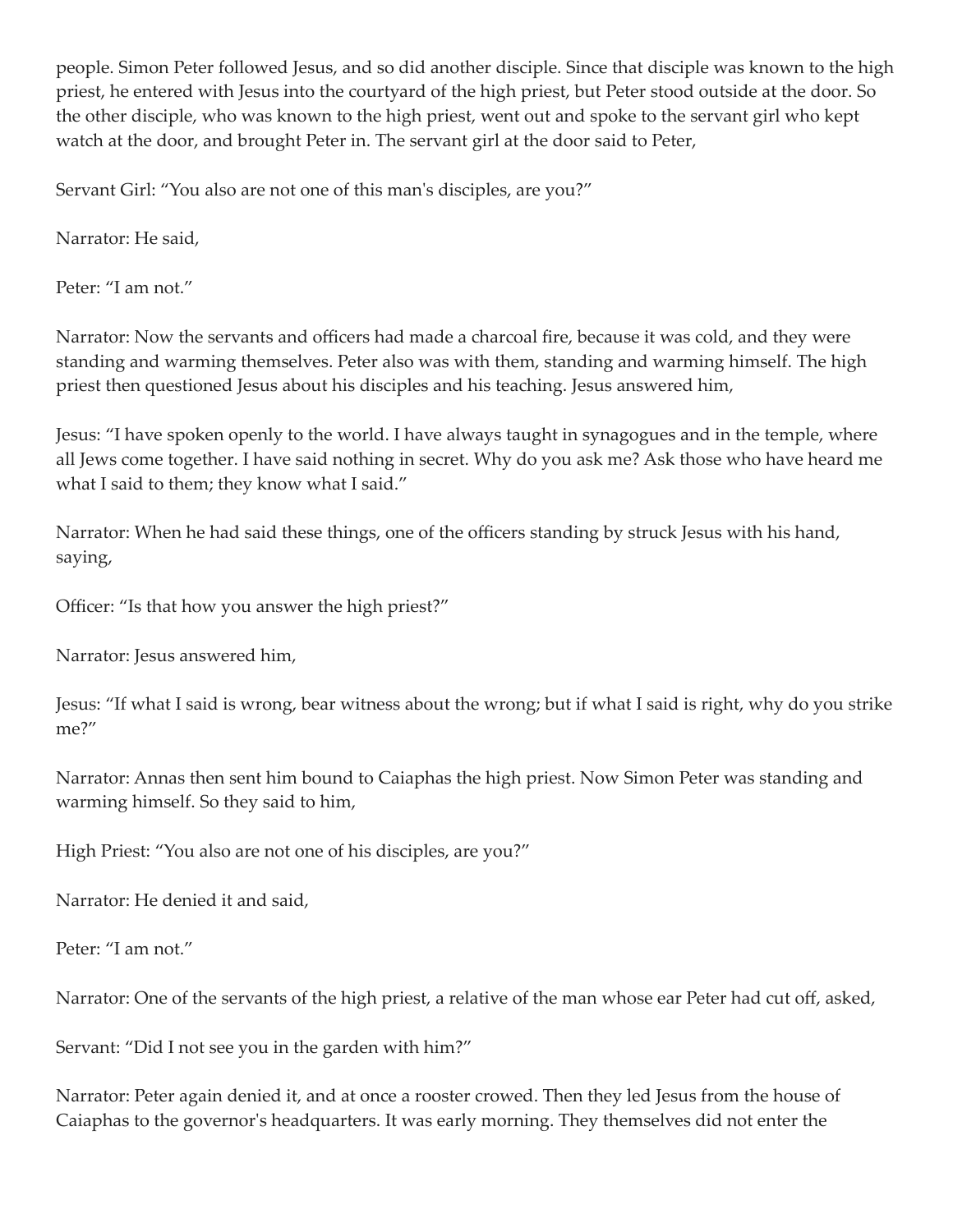people. Simon Peter followed Jesus, and so did another disciple. Since that disciple was known to the high priest, he entered with Jesus into the courtyard of the high priest, but Peter stood outside at the door. So the other disciple, who was known to the high priest, went out and spoke to the servant girl who kept watch at the door, and brought Peter in. The servant girl at the door said to Peter,

Servant Girl: "You also are not one of this man's disciples, are you?"

Narrator: He said,

Peter: "I am not."

Narrator: Now the servants and officers had made a charcoal fire, because it was cold, and they were standing and warming themselves. Peter also was with them, standing and warming himself. The high priest then questioned Jesus about his disciples and his teaching. Jesus answered him,

Jesus: "I have spoken openly to the world. I have always taught in synagogues and in the temple, where all Jews come together. I have said nothing in secret. Why do you ask me? Ask those who have heard me what I said to them; they know what I said."

Narrator: When he had said these things, one of the officers standing by struck Jesus with his hand, saying,

Officer: "Is that how you answer the high priest?"

Narrator: Jesus answered him,

Jesus: "If what I said is wrong, bear witness about the wrong; but if what I said is right, why do you strike me?"

Narrator: Annas then sent him bound to Caiaphas the high priest. Now Simon Peter was standing and warming himself. So they said to him,

High Priest: "You also are not one of his disciples, are you?"

Narrator: He denied it and said,

Peter: "I am not."

Narrator: One of the servants of the high priest, a relative of the man whose ear Peter had cut off, asked,

Servant: "Did I not see you in the garden with him?"

Narrator: Peter again denied it, and at once a rooster crowed. Then they led Jesus from the house of Caiaphas to the governor's headquarters. It was early morning. They themselves did not enter the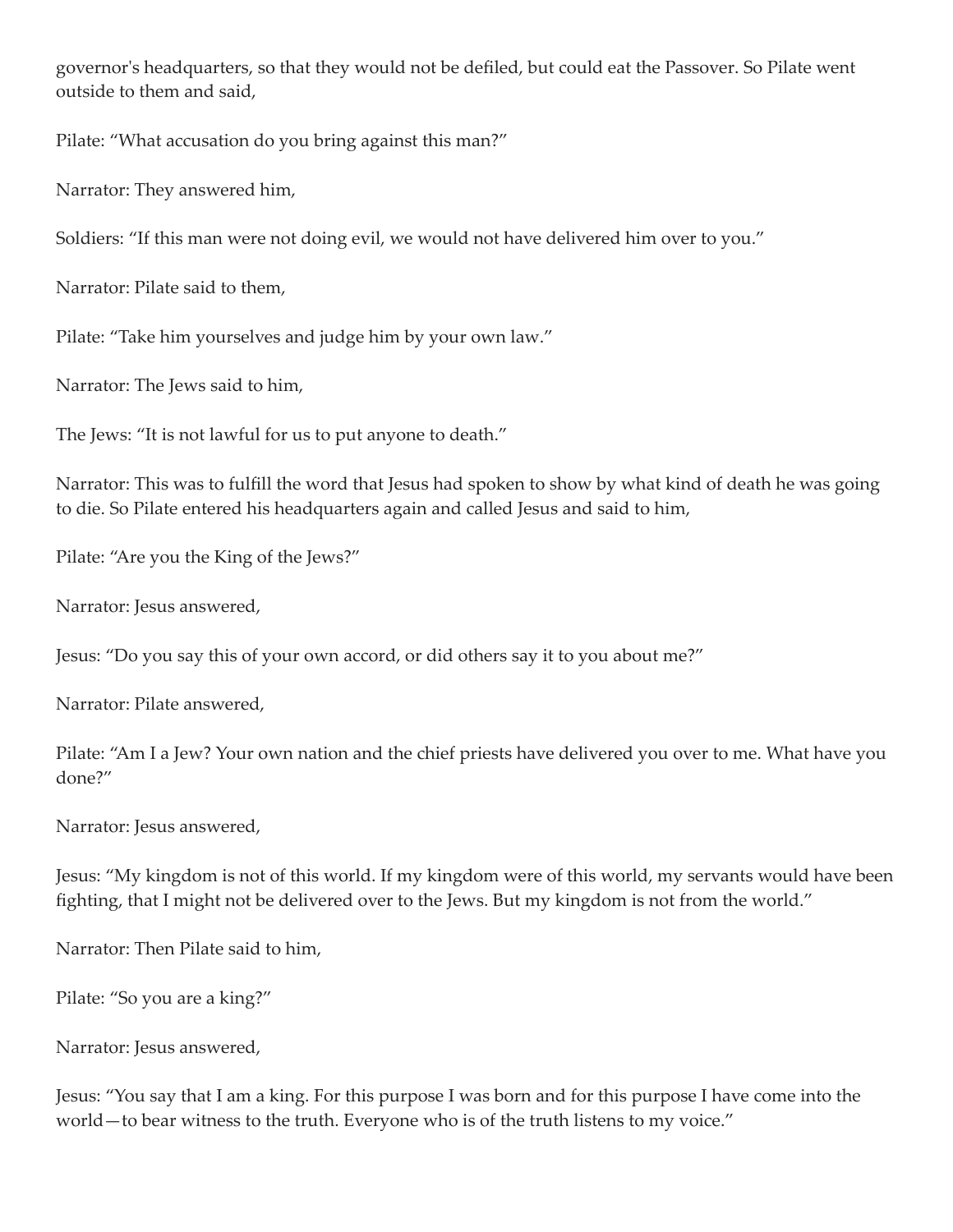governor's headquarters, so that they would not be defiled, but could eat the Passover. So Pilate went outside to them and said,

Pilate: "What accusation do you bring against this man?"

Narrator: They answered him,

Soldiers: "If this man were not doing evil, we would not have delivered him over to you."

Narrator: Pilate said to them,

Pilate: "Take him yourselves and judge him by your own law."

Narrator: The Jews said to him,

The Jews: "It is not lawful for us to put anyone to death."

Narrator: This was to fulfill the word that Jesus had spoken to show by what kind of death he was going to die. So Pilate entered his headquarters again and called Jesus and said to him,

Pilate: "Are you the King of the Jews?"

Narrator: Jesus answered,

Jesus: "Do you say this of your own accord, or did others say it to you about me?"

Narrator: Pilate answered,

Pilate: "Am I a Jew? Your own nation and the chief priests have delivered you over to me. What have you done?"

Narrator: Jesus answered,

Jesus: "My kingdom is not of this world. If my kingdom were of this world, my servants would have been fighting, that I might not be delivered over to the Jews. But my kingdom is not from the world."

Narrator: Then Pilate said to him,

Pilate: "So you are a king?"

Narrator: Jesus answered,

Jesus: "You say that I am a king. For this purpose I was born and for this purpose I have come into the world—to bear witness to the truth. Everyone who is of the truth listens to my voice."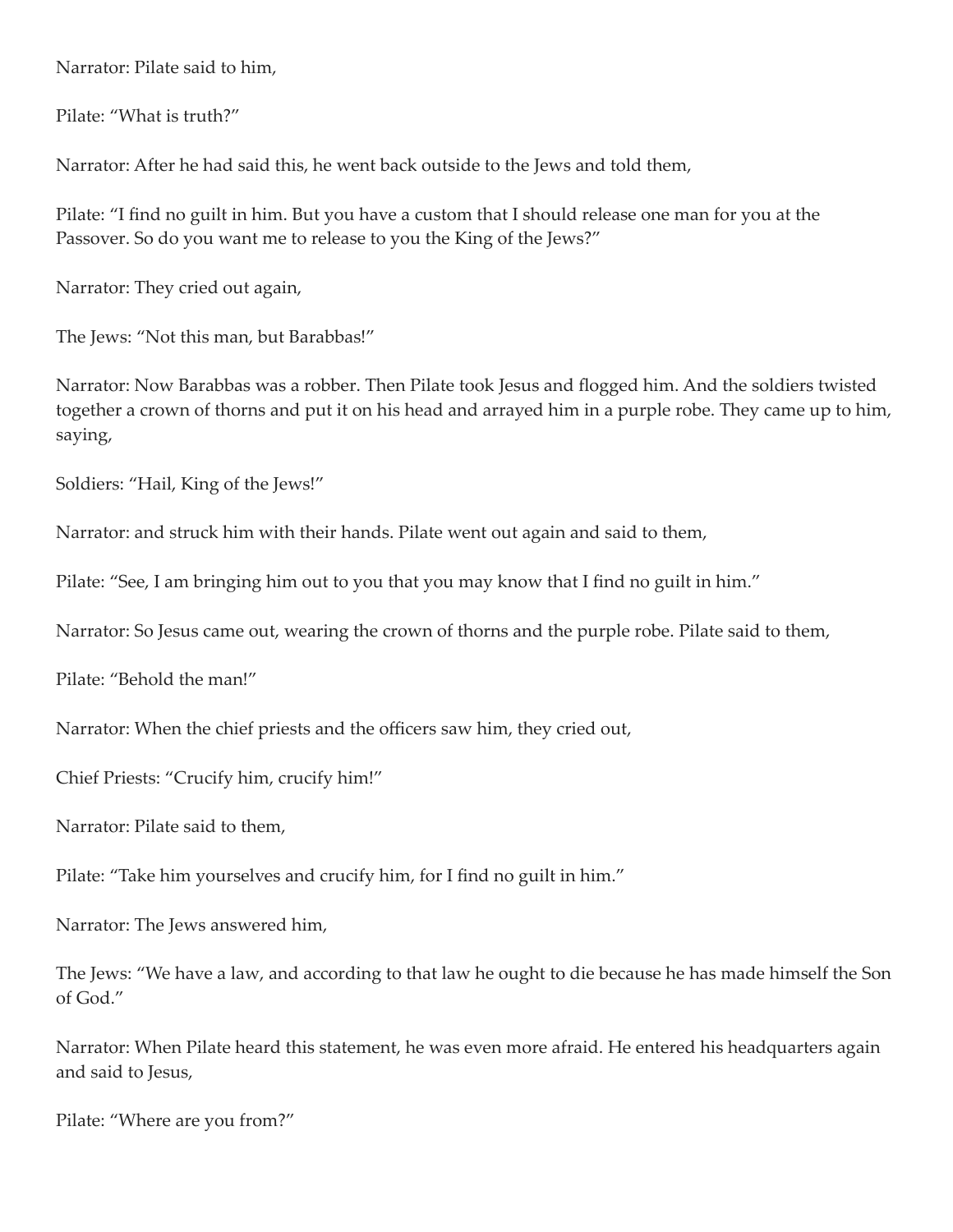Narrator: Pilate said to him,

Pilate: "What is truth?"

Narrator: After he had said this, he went back outside to the Jews and told them,

Pilate: "I find no guilt in him. But you have a custom that I should release one man for you at the Passover. So do you want me to release to you the King of the Jews?"

Narrator: They cried out again,

The Jews: "Not this man, but Barabbas!"

Narrator: Now Barabbas was a robber. Then Pilate took Jesus and flogged him. And the soldiers twisted together a crown of thorns and put it on his head and arrayed him in a purple robe. They came up to him, saying,

Soldiers: "Hail, King of the Jews!"

Narrator: and struck him with their hands. Pilate went out again and said to them,

Pilate: "See, I am bringing him out to you that you may know that I find no guilt in him."

Narrator: So Jesus came out, wearing the crown of thorns and the purple robe. Pilate said to them,

Pilate: "Behold the man!"

Narrator: When the chief priests and the officers saw him, they cried out,

Chief Priests: "Crucify him, crucify him!"

Narrator: Pilate said to them,

Pilate: "Take him yourselves and crucify him, for I find no guilt in him."

Narrator: The Jews answered him,

The Jews: "We have a law, and according to that law he ought to die because he has made himself the Son of God."

Narrator: When Pilate heard this statement, he was even more afraid. He entered his headquarters again and said to Jesus,

Pilate: "Where are you from?"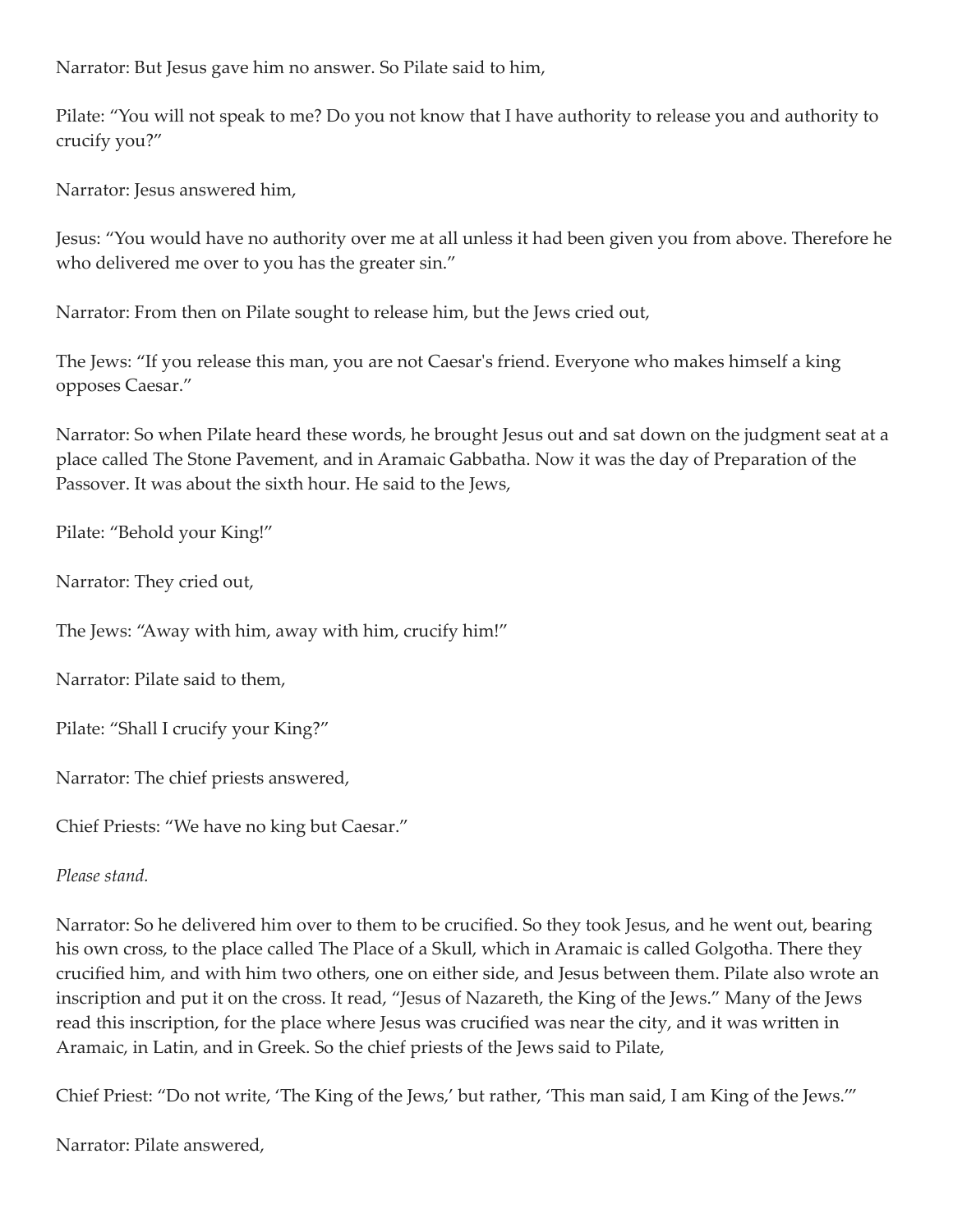Narrator: But Jesus gave him no answer. So Pilate said to him,

Pilate: "You will not speak to me? Do you not know that I have authority to release you and authority to crucify you?"

Narrator: Jesus answered him,

Jesus: "You would have no authority over me at all unless it had been given you from above. Therefore he who delivered me over to you has the greater sin."

Narrator: From then on Pilate sought to release him, but the Jews cried out,

The Jews: "If you release this man, you are not Caesar's friend. Everyone who makes himself a king opposes Caesar."

Narrator: So when Pilate heard these words, he brought Jesus out and sat down on the judgment seat at a place called The Stone Pavement, and in Aramaic Gabbatha. Now it was the day of Preparation of the Passover. It was about the sixth hour. He said to the Jews,

Pilate: "Behold your King!"

Narrator: They cried out,

The Jews: "Away with him, away with him, crucify him!"

Narrator: Pilate said to them,

Pilate: "Shall I crucify your King?"

Narrator: The chief priests answered,

Chief Priests: "We have no king but Caesar."

#### *Please stand.*

Narrator: So he delivered him over to them to be crucified. So they took Jesus, and he went out, bearing his own cross, to the place called The Place of a Skull, which in Aramaic is called Golgotha. There they crucified him, and with him two others, one on either side, and Jesus between them. Pilate also wrote an inscription and put it on the cross. It read, "Jesus of Nazareth, the King of the Jews." Many of the Jews read this inscription, for the place where Jesus was crucified was near the city, and it was written in Aramaic, in Latin, and in Greek. So the chief priests of the Jews said to Pilate,

Chief Priest: "Do not write, 'The King of the Jews,' but rather, 'This man said, I am King of the Jews.'"

Narrator: Pilate answered,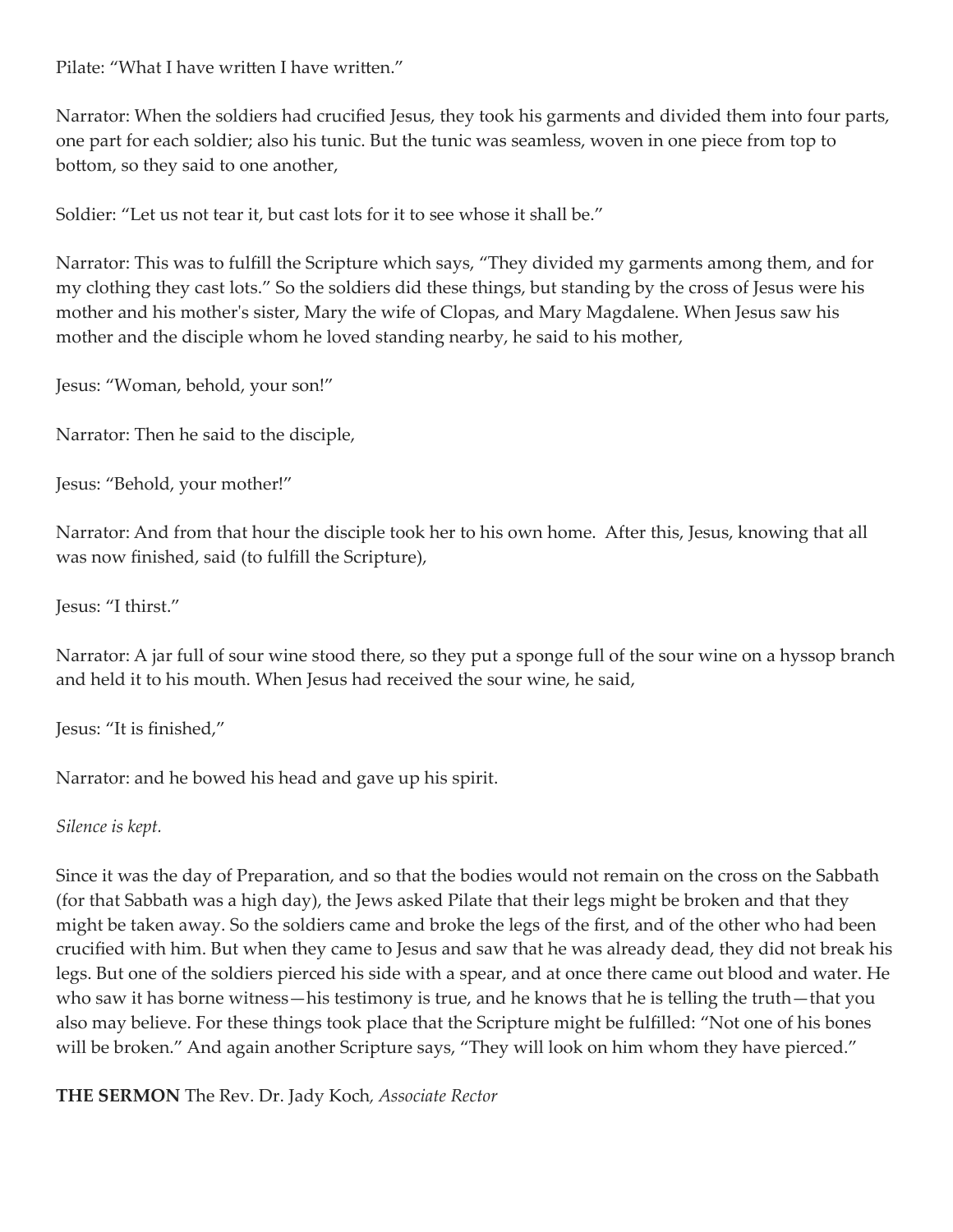Pilate: "What I have written I have written."

Narrator: When the soldiers had crucified Jesus, they took his garments and divided them into four parts, one part for each soldier; also his tunic. But the tunic was seamless, woven in one piece from top to bottom, so they said to one another,

Soldier: "Let us not tear it, but cast lots for it to see whose it shall be."

Narrator: This was to fulfill the Scripture which says, "They divided my garments among them, and for my clothing they cast lots." So the soldiers did these things, but standing by the cross of Jesus were his mother and his mother's sister, Mary the wife of Clopas, and Mary Magdalene. When Jesus saw his mother and the disciple whom he loved standing nearby, he said to his mother,

Jesus: "Woman, behold, your son!"

Narrator: Then he said to the disciple,

Jesus: "Behold, your mother!"

Narrator: And from that hour the disciple took her to his own home. After this, Jesus, knowing that all was now finished, said (to fulfill the Scripture),

Jesus: "I thirst."

Narrator: A jar full of sour wine stood there, so they put a sponge full of the sour wine on a hyssop branch and held it to his mouth. When Jesus had received the sour wine, he said,

Jesus: "It is finished,"

Narrator: and he bowed his head and gave up his spirit.

*Silence is kept.*

Since it was the day of Preparation, and so that the bodies would not remain on the cross on the Sabbath (for that Sabbath was a high day), the Jews asked Pilate that their legs might be broken and that they might be taken away. So the soldiers came and broke the legs of the first, and of the other who had been crucified with him. But when they came to Jesus and saw that he was already dead, they did not break his legs. But one of the soldiers pierced his side with a spear, and at once there came out blood and water. He who saw it has borne witness—his testimony is true, and he knows that he is telling the truth—that you also may believe. For these things took place that the Scripture might be fulfilled: "Not one of his bones will be broken." And again another Scripture says, "They will look on him whom they have pierced."

**THE SERMON** The Rev. Dr. Jady Koch*, Associate Rector*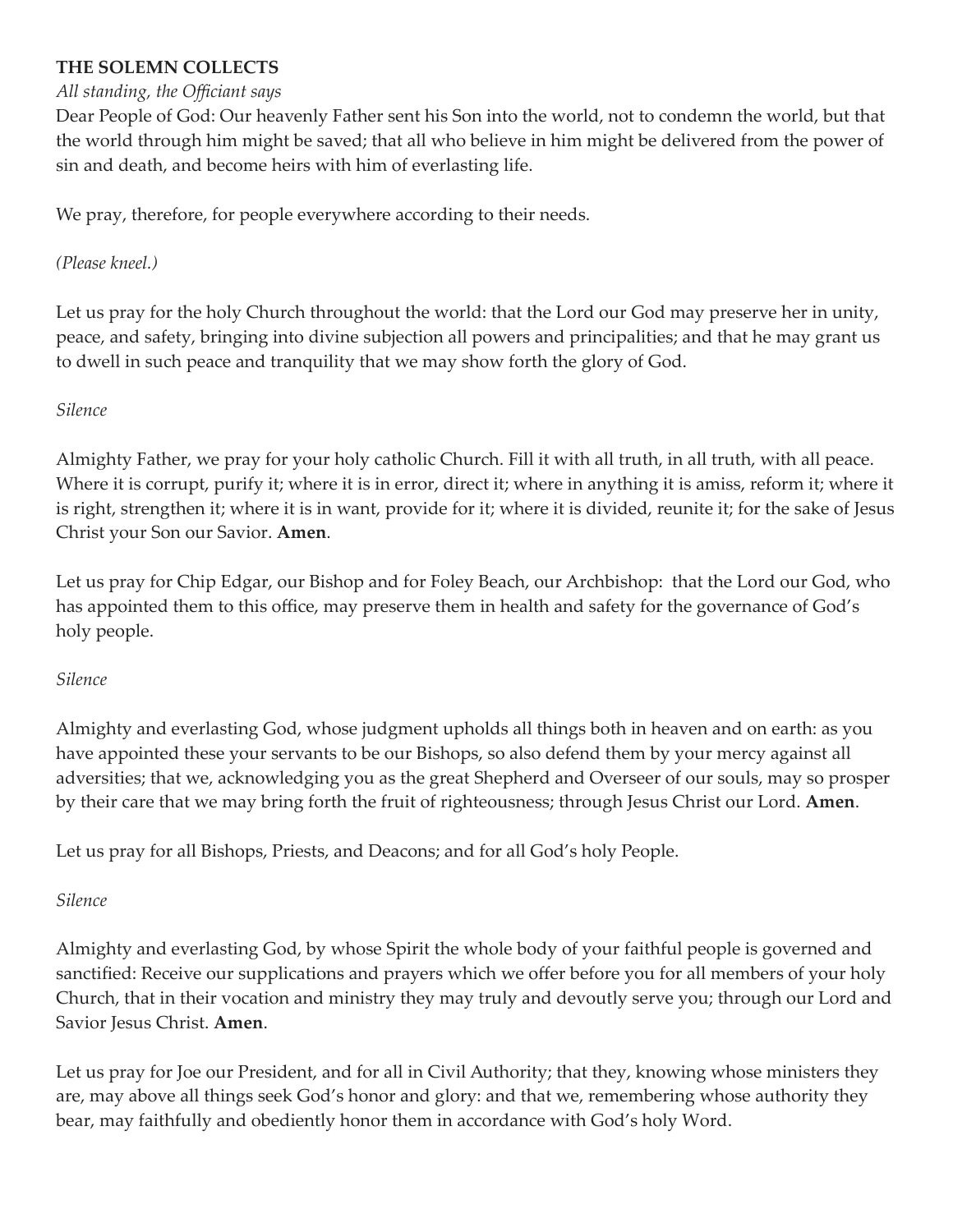# **THE SOLEMN COLLECTS**

#### *All standing, the Officiant says*

Dear People of God: Our heavenly Father sent his Son into the world, not to condemn the world, but that the world through him might be saved; that all who believe in him might be delivered from the power of sin and death, and become heirs with him of everlasting life.

We pray, therefore, for people everywhere according to their needs.

# *(Please kneel.)*

Let us pray for the holy Church throughout the world: that the Lord our God may preserve her in unity, peace, and safety, bringing into divine subjection all powers and principalities; and that he may grant us to dwell in such peace and tranquility that we may show forth the glory of God.

### *Silence*

Almighty Father, we pray for your holy catholic Church. Fill it with all truth, in all truth, with all peace. Where it is corrupt, purify it; where it is in error, direct it; where in anything it is amiss, reform it; where it is right, strengthen it; where it is in want, provide for it; where it is divided, reunite it; for the sake of Jesus Christ your Son our Savior. **Amen**.

Let us pray for Chip Edgar, our Bishop and for Foley Beach, our Archbishop: that the Lord our God, who has appointed them to this office, may preserve them in health and safety for the governance of God's holy people.

#### *Silence*

Almighty and everlasting God, whose judgment upholds all things both in heaven and on earth: as you have appointed these your servants to be our Bishops, so also defend them by your mercy against all adversities; that we, acknowledging you as the great Shepherd and Overseer of our souls, may so prosper by their care that we may bring forth the fruit of righteousness; through Jesus Christ our Lord. **Amen**.

Let us pray for all Bishops, Priests, and Deacons; and for all God's holy People.

# *Silence*

Almighty and everlasting God, by whose Spirit the whole body of your faithful people is governed and sanctified: Receive our supplications and prayers which we offer before you for all members of your holy Church, that in their vocation and ministry they may truly and devoutly serve you; through our Lord and Savior Jesus Christ. **Amen**.

Let us pray for Joe our President, and for all in Civil Authority; that they, knowing whose ministers they are, may above all things seek God's honor and glory: and that we, remembering whose authority they bear, may faithfully and obediently honor them in accordance with God's holy Word.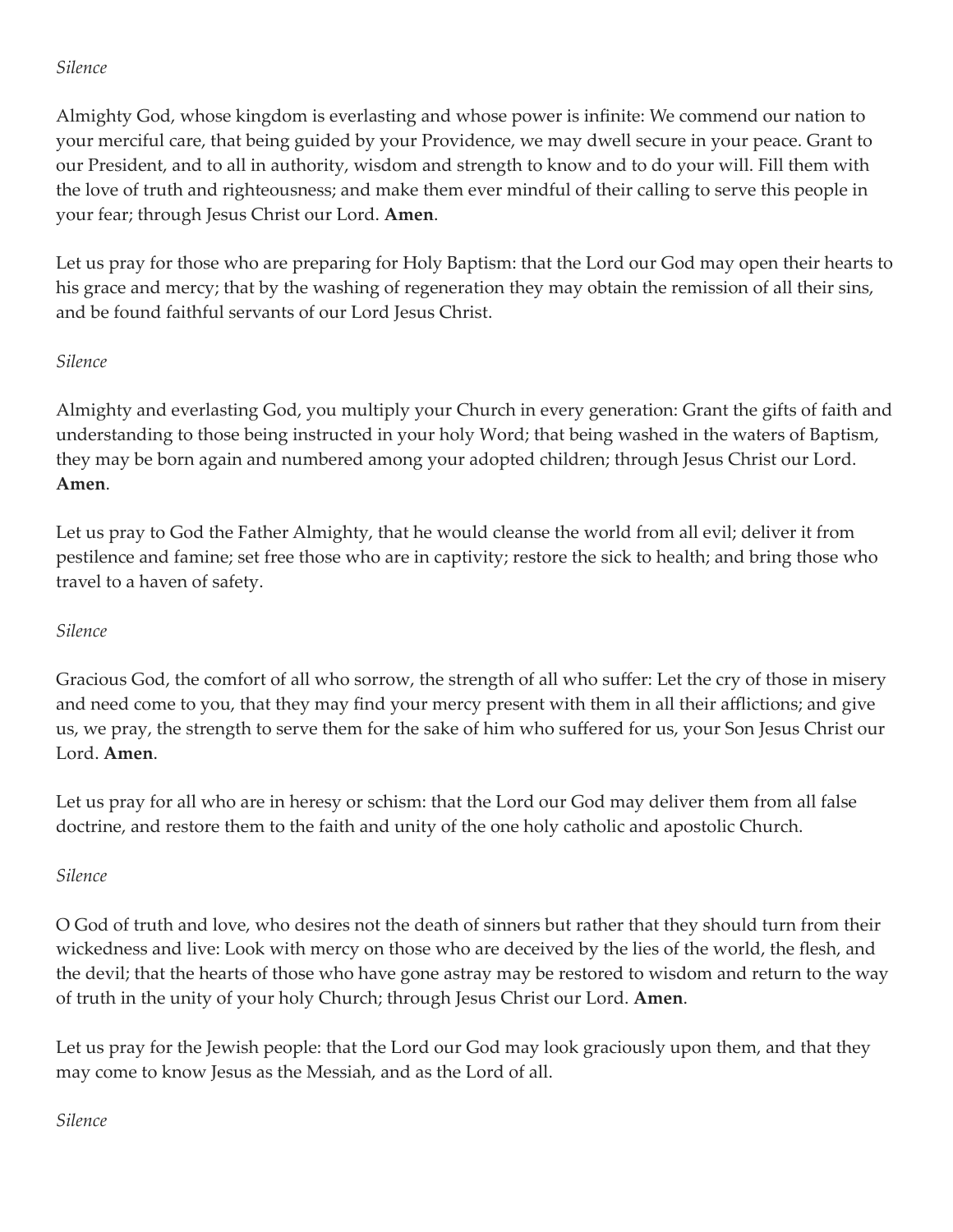### *Silence*

Almighty God, whose kingdom is everlasting and whose power is infinite: We commend our nation to your merciful care, that being guided by your Providence, we may dwell secure in your peace. Grant to our President, and to all in authority, wisdom and strength to know and to do your will. Fill them with the love of truth and righteousness; and make them ever mindful of their calling to serve this people in your fear; through Jesus Christ our Lord. **Amen**.

Let us pray for those who are preparing for Holy Baptism: that the Lord our God may open their hearts to his grace and mercy; that by the washing of regeneration they may obtain the remission of all their sins, and be found faithful servants of our Lord Jesus Christ.

# *Silence*

Almighty and everlasting God, you multiply your Church in every generation: Grant the gifts of faith and understanding to those being instructed in your holy Word; that being washed in the waters of Baptism, they may be born again and numbered among your adopted children; through Jesus Christ our Lord. **Amen**.

Let us pray to God the Father Almighty, that he would cleanse the world from all evil; deliver it from pestilence and famine; set free those who are in captivity; restore the sick to health; and bring those who travel to a haven of safety.

# *Silence*

Gracious God, the comfort of all who sorrow, the strength of all who suffer: Let the cry of those in misery and need come to you, that they may find your mercy present with them in all their afflictions; and give us, we pray, the strength to serve them for the sake of him who suffered for us, your Son Jesus Christ our Lord. **Amen**.

Let us pray for all who are in heresy or schism: that the Lord our God may deliver them from all false doctrine, and restore them to the faith and unity of the one holy catholic and apostolic Church.

# *Silence*

O God of truth and love, who desires not the death of sinners but rather that they should turn from their wickedness and live: Look with mercy on those who are deceived by the lies of the world, the flesh, and the devil; that the hearts of those who have gone astray may be restored to wisdom and return to the way of truth in the unity of your holy Church; through Jesus Christ our Lord. **Amen**.

Let us pray for the Jewish people: that the Lord our God may look graciously upon them, and that they may come to know Jesus as the Messiah, and as the Lord of all.

# *Silence*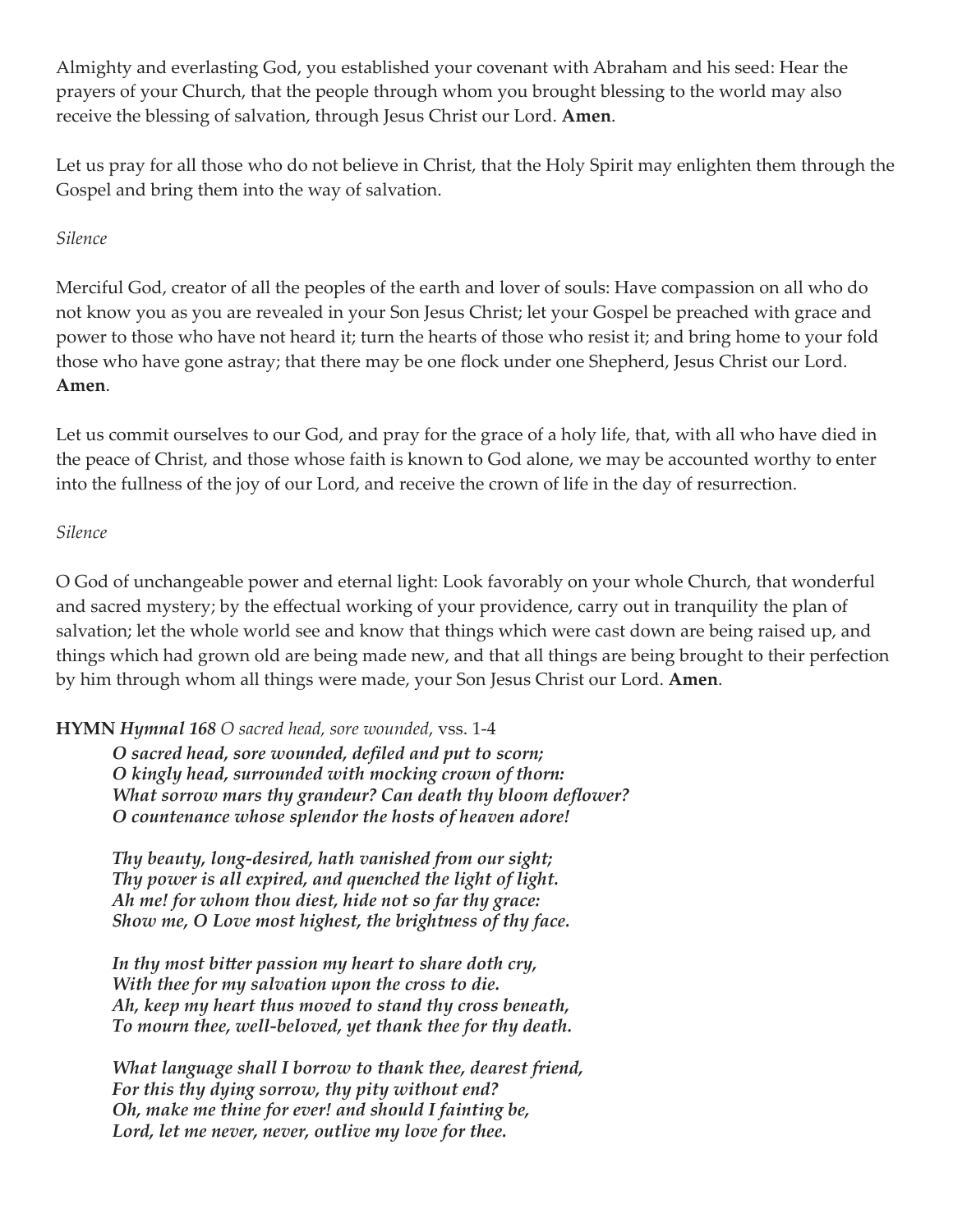Almighty and everlasting God, you established your covenant with Abraham and his seed: Hear the prayers of your Church, that the people through whom you brought blessing to the world may also receive the blessing of salvation, through Jesus Christ our Lord. **Amen**.

Let us pray for all those who do not believe in Christ, that the Holy Spirit may enlighten them through the Gospel and bring them into the way of salvation.

### *Silence*

Merciful God, creator of all the peoples of the earth and lover of souls: Have compassion on all who do not know you as you are revealed in your Son Jesus Christ; let your Gospel be preached with grace and power to those who have not heard it; turn the hearts of those who resist it; and bring home to your fold those who have gone astray; that there may be one flock under one Shepherd, Jesus Christ our Lord. **Amen**.

Let us commit ourselves to our God, and pray for the grace of a holy life, that, with all who have died in the peace of Christ, and those whose faith is known to God alone, we may be accounted worthy to enter into the fullness of the joy of our Lord, and receive the crown of life in the day of resurrection.

### *Silence*

O God of unchangeable power and eternal light: Look favorably on your whole Church, that wonderful and sacred mystery; by the effectual working of your providence, carry out in tranquility the plan of salvation; let the whole world see and know that things which were cast down are being raised up, and things which had grown old are being made new, and that all things are being brought to their perfection by him through whom all things were made, your Son Jesus Christ our Lord. **Amen**.

# **HYMN** *Hymnal 168 O sacred head, sore wounded*, vss. 1-4

*O sacred head, sore wounded, defiled and put to scorn; O kingly head, surrounded with mocking crown of thorn: What sorrow mars thy grandeur? Can death thy bloom deflower? O countenance whose splendor the hosts of heaven adore!*

*Thy beauty, long-desired, hath vanished from our sight; Thy power is all expired, and quenched the light of light. Ah me! for whom thou diest, hide not so far thy grace: Show me, O Love most highest, the brightness of thy face.*

*In thy most bitter passion my heart to share doth cry, With thee for my salvation upon the cross to die. Ah, keep my heart thus moved to stand thy cross beneath, To mourn thee, well-beloved, yet thank thee for thy death.*

*What language shall I borrow to thank thee, dearest friend, For this thy dying sorrow, thy pity without end? Oh, make me thine for ever! and should I fainting be, Lord, let me never, never, outlive my love for thee.*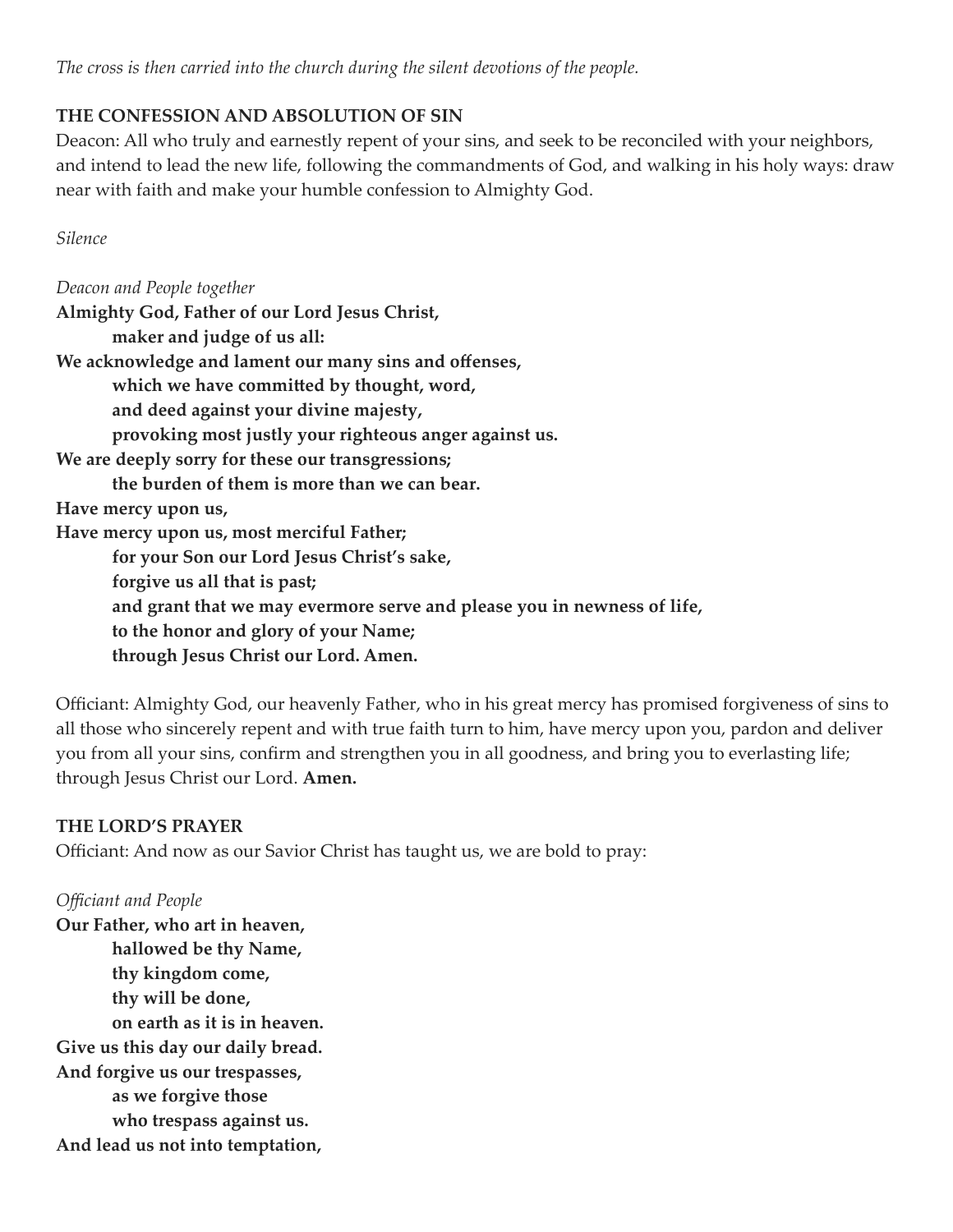*The cross is then carried into the church during the silent devotions of the people.*

# **THE CONFESSION AND ABSOLUTION OF SIN**

Deacon: All who truly and earnestly repent of your sins, and seek to be reconciled with your neighbors, and intend to lead the new life, following the commandments of God, and walking in his holy ways: draw near with faith and make your humble confession to Almighty God.

### *Silence*

| Deacon and People together                                              |
|-------------------------------------------------------------------------|
| Almighty God, Father of our Lord Jesus Christ,                          |
| maker and judge of us all:                                              |
| We acknowledge and lament our many sins and offenses,                   |
| which we have committed by thought, word,                               |
| and deed against your divine majesty,                                   |
| provoking most justly your righteous anger against us.                  |
| We are deeply sorry for these our transgressions;                       |
| the burden of them is more than we can bear.                            |
| Have mercy upon us,                                                     |
| Have mercy upon us, most merciful Father;                               |
| for your Son our Lord Jesus Christ's sake,                              |
| forgive us all that is past;                                            |
| and grant that we may evermore serve and please you in newness of life, |
| to the honor and glory of your Name;                                    |
| through Jesus Christ our Lord. Amen.                                    |

Officiant: Almighty God, our heavenly Father, who in his great mercy has promised forgiveness of sins to all those who sincerely repent and with true faith turn to him, have mercy upon you, pardon and deliver you from all your sins, confirm and strengthen you in all goodness, and bring you to everlasting life; through Jesus Christ our Lord. **Amen.**

# **THE LORD'S PRAYER**

Officiant: And now as our Savior Christ has taught us, we are bold to pray:

# *Officiant and People*

**Our Father, who art in heaven, hallowed be thy Name, thy kingdom come, thy will be done, on earth as it is in heaven. Give us this day our daily bread. And forgive us our trespasses, as we forgive those who trespass against us. And lead us not into temptation,**